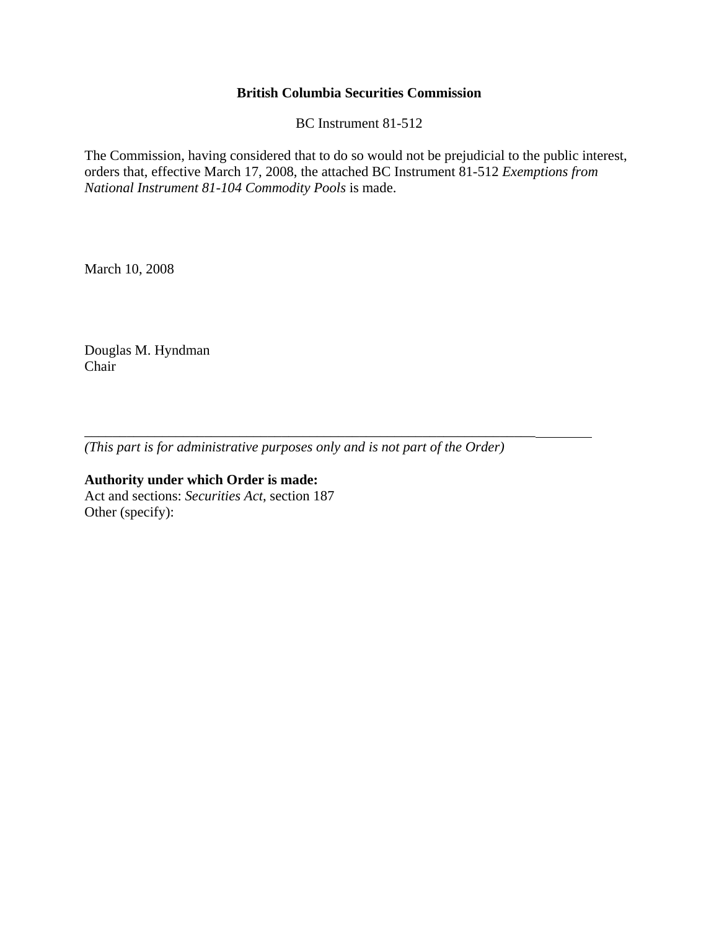## **British Columbia Securities Commission**

BC Instrument 81-512

The Commission, having considered that to do so would not be prejudicial to the public interest, orders that, effective March 17, 2008, the attached BC Instrument 81-512 *Exemptions from National Instrument 81-104 Commodity Pools* is made.

March 10, 2008

Douglas M. Hyndman Chair

*(This part is for administrative purposes only and is not part of the Order)* 

\_\_\_\_\_\_\_\_\_\_\_\_\_\_\_\_\_\_\_\_\_\_\_\_\_\_\_\_\_\_\_\_\_\_\_\_\_\_\_\_\_\_\_\_\_\_\_\_\_\_\_\_\_\_\_\_\_\_\_\_\_\_\_\_

**Authority under which Order is made:**  Act and sections: *Securities Act*, section 187 Other (specify):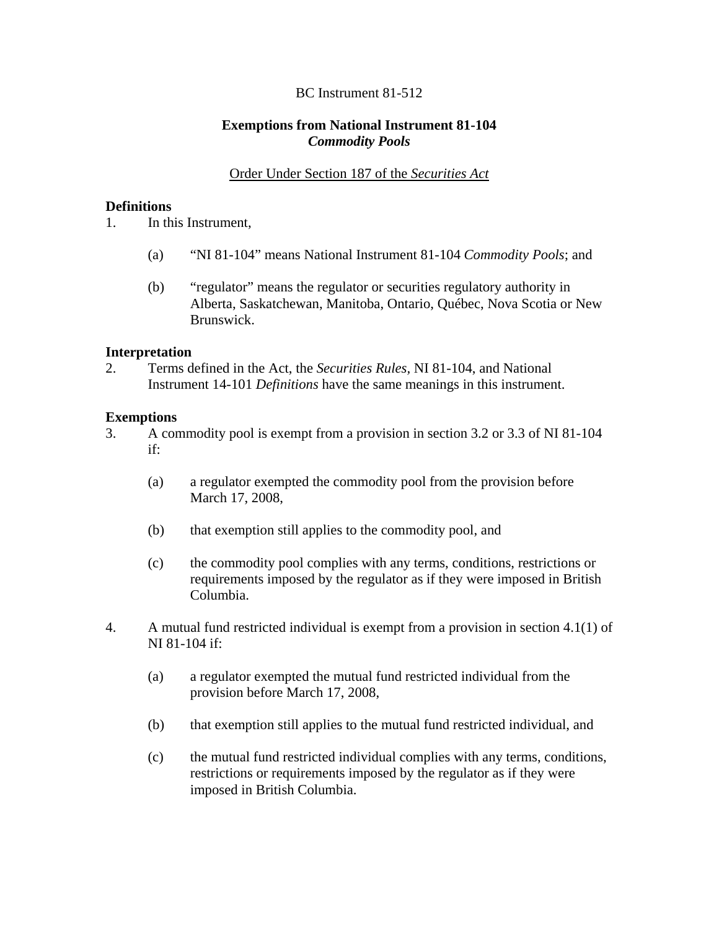# BC Instrument 81-512

## **Exemptions from National Instrument 81-104**  *Commodity Pools*

## Order Under Section 187 of the *Securities Act*

#### **Definitions**

1. In this Instrument,

- (a) "NI 81-104" means National Instrument 81-104 *Commodity Pools*; and
- (b) "regulator" means the regulator or securities regulatory authority in Alberta, Saskatchewan, Manitoba, Ontario, Québec, Nova Scotia or New Brunswick.

#### **Interpretation**

2. Terms defined in the Act, the *Securities Rules,* NI 81-104, and National Instrument 14-101 *Definitions* have the same meanings in this instrument.

### **Exemptions**

- 3. A commodity pool is exempt from a provision in section 3.2 or 3.3 of NI 81-104 if:
	- (a) a regulator exempted the commodity pool from the provision before March 17, 2008,
	- (b) that exemption still applies to the commodity pool, and
	- (c) the commodity pool complies with any terms, conditions, restrictions or requirements imposed by the regulator as if they were imposed in British Columbia.
- 4. A mutual fund restricted individual is exempt from a provision in section 4.1(1) of NI 81-104 if:
	- (a) a regulator exempted the mutual fund restricted individual from the provision before March 17, 2008,
	- (b) that exemption still applies to the mutual fund restricted individual, and
	- (c) the mutual fund restricted individual complies with any terms, conditions, restrictions or requirements imposed by the regulator as if they were imposed in British Columbia.